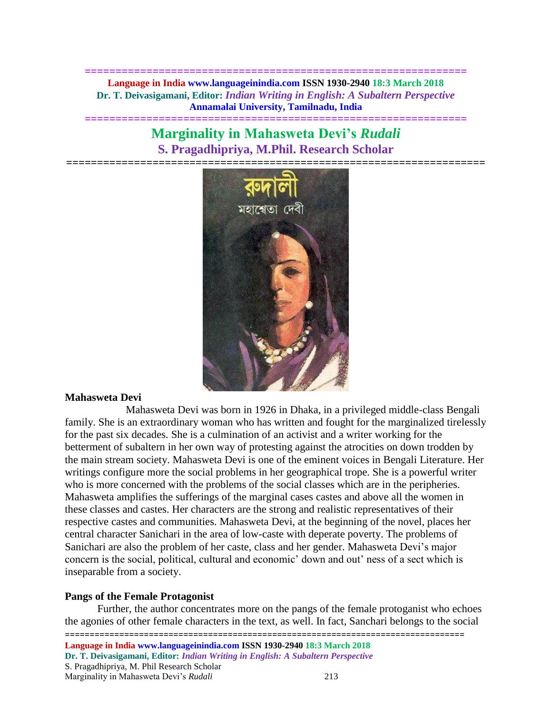**============================================================== Language in India www.languageinindia.com ISSN 1930-2940 18:3 March 2018 Dr. T. Deivasigamani, Editor:** *Indian Writing in English: A Subaltern Perspective* **Annamalai University, Tamilnadu, India**

# **Marginality in Mahasweta Devi's** *Rudali* **S. Pragadhipriya, M.Phil. Research Scholar**

**==============================================================**



#### **Mahasweta Devi**

Mahasweta Devi was born in 1926 in Dhaka, in a privileged middle-class Bengali family. She is an extraordinary woman who has written and fought for the marginalized tirelessly for the past six decades. She is a culmination of an activist and a writer working for the betterment of subaltern in her own way of protesting against the atrocities on down trodden by the main stream society. Mahasweta Devi is one of the eminent voices in Bengali Literature. Her writings configure more the social problems in her geographical trope. She is a powerful writer who is more concerned with the problems of the social classes which are in the peripheries. Mahasweta amplifies the sufferings of the marginal cases castes and above all the women in these classes and castes. Her characters are the strong and realistic representatives of their respective castes and communities. Mahasweta Devi, at the beginning of the novel, places her central character Sanichari in the area of low-caste with deperate poverty. The problems of Sanichari are also the problem of her caste, class and her gender. Mahasweta Devi's major concern is the social, political, cultural and economic' down and out' ness of a sect which is inseparable from a society.

#### **Pangs of the Female Protagonist**

======================== **Language in India www.languageinindia.com ISSN 1930-2940 18:3 March 2018 Dr. T. Deivasigamani, Editor:** *Indian Writing in English: A Subaltern Perspective* S. Pragadhipriya, M. Phil Research Scholar Marginality in Mahasweta Devi's *Rudali* 213 Further, the author concentrates more on the pangs of the female protoganist who echoes the agonies of other female characters in the text, as well. In fact, Sanchari belongs to the social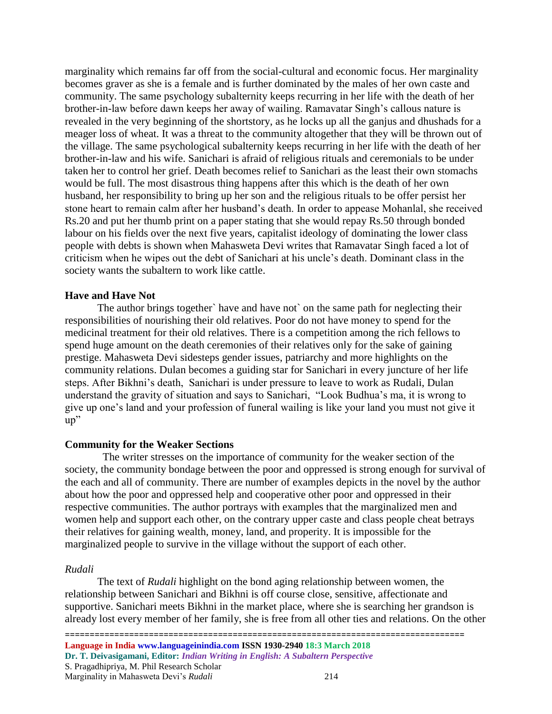marginality which remains far off from the social-cultural and economic focus. Her marginality becomes graver as she is a female and is further dominated by the males of her own caste and community. The same psychology subalternity keeps recurring in her life with the death of her brother-in-law before dawn keeps her away of wailing. Ramavatar Singh's callous nature is revealed in the very beginning of the shortstory, as he locks up all the ganjus and dhushads for a meager loss of wheat. It was a threat to the community altogether that they will be thrown out of the village. The same psychological subalternity keeps recurring in her life with the death of her brother-in-law and his wife. Sanichari is afraid of religious rituals and ceremonials to be under taken her to control her grief. Death becomes relief to Sanichari as the least their own stomachs would be full. The most disastrous thing happens after this which is the death of her own husband, her responsibility to bring up her son and the religious rituals to be offer persist her stone heart to remain calm after her husband's death. In order to appease Mohanlal, she received Rs.20 and put her thumb print on a paper stating that she would repay Rs.50 through bonded labour on his fields over the next five years, capitalist ideology of dominating the lower class people with debts is shown when Mahasweta Devi writes that Ramavatar Singh faced a lot of criticism when he wipes out the debt of Sanichari at his uncle's death. Dominant class in the society wants the subaltern to work like cattle.

## **Have and Have Not**

The author brings together` have and have not` on the same path for neglecting their responsibilities of nourishing their old relatives. Poor do not have money to spend for the medicinal treatment for their old relatives. There is a competition among the rich fellows to spend huge amount on the death ceremonies of their relatives only for the sake of gaining prestige. Mahasweta Devi sidesteps gender issues, patriarchy and more highlights on the community relations. Dulan becomes a guiding star for Sanichari in every juncture of her life steps. After Bikhni's death, Sanichari is under pressure to leave to work as Rudali, Dulan understand the gravity of situation and says to Sanichari, "Look Budhua's ma, it is wrong to give up one's land and your profession of funeral wailing is like your land you must not give it up"

# **Community for the Weaker Sections**

 The writer stresses on the importance of community for the weaker section of the society, the community bondage between the poor and oppressed is strong enough for survival of the each and all of community. There are number of examples depicts in the novel by the author about how the poor and oppressed help and cooperative other poor and oppressed in their respective communities. The author portrays with examples that the marginalized men and women help and support each other, on the contrary upper caste and class people cheat betrays their relatives for gaining wealth, money, land, and properity. It is impossible for the marginalized people to survive in the village without the support of each other.

#### *Rudali*

The text of *Rudali* highlight on the bond aging relationship between women, the relationship between Sanichari and Bikhni is off course close, sensitive, affectionate and supportive. Sanichari meets Bikhni in the market place, where she is searching her grandson is already lost every member of her family, she is free from all other ties and relations. On the other